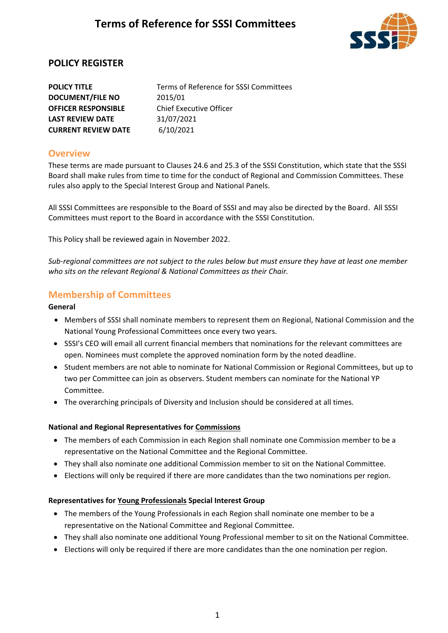

## **POLICY REGISTER**

**DOCUMENT/FILE NO** 2015/01 **OFFICER RESPONSIBLE** Chief Executive Officer **LAST REVIEW DATE** 31/07/2021 **CURRENT REVIEW DATE** 6/10/2021

**POLICY TITLE** Terms of Reference for SSSI Committees

### **Overview**

These terms are made pursuant to Clauses 24.6 and 25.3 of the SSSI Constitution, which state that the SSSI Board shall make rules from time to time for the conduct of Regional and Commission Committees. These rules also apply to the Special Interest Group and National Panels.

All SSSI Committees are responsible to the Board of SSSI and may also be directed by the Board. All SSSI Committees must report to the Board in accordance with the SSSI Constitution.

This Policy shall be reviewed again in November 2022.

*Sub-regional committees are not subject to the rules below but must ensure they have at least one member who sits on the relevant Regional & National Committees as their Chair.*

## **Membership of Committees**

#### **General**

- Members of SSSI shall nominate members to represent them on Regional, National Commission and the National Young Professional Committees once every two years.
- SSSI's CEO will email all current financial members that nominations for the relevant committees are open. Nominees must complete the approved nomination form by the noted deadline.
- Student members are not able to nominate for National Commission or Regional Committees, but up to two per Committee can join as observers. Student members can nominate for the National YP Committee.
- The overarching principals of Diversity and Inclusion should be considered at all times.

#### **National and Regional Representatives for Commissions**

- The members of each Commission in each Region shall nominate one Commission member to be a representative on the National Committee and the Regional Committee.
- They shall also nominate one additional Commission member to sit on the National Committee.
- Elections will only be required if there are more candidates than the two nominations per region.

#### **Representatives for Young Professionals Special Interest Group**

- The members of the Young Professionals in each Region shall nominate one member to be a representative on the National Committee and Regional Committee.
- They shall also nominate one additional Young Professional member to sit on the National Committee.
- Elections will only be required if there are more candidates than the one nomination per region.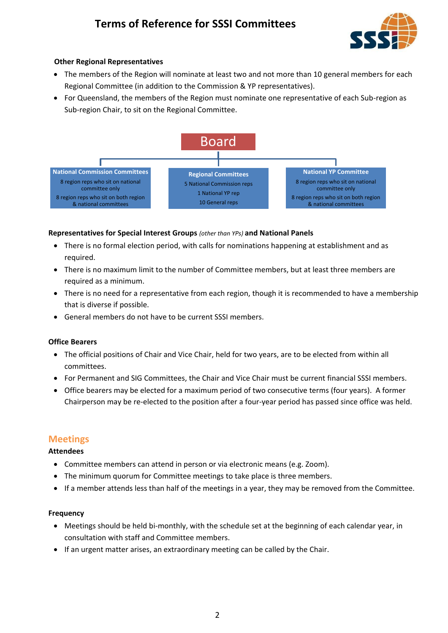

### **Other Regional Representatives**

- The members of the Region will nominate at least two and not more than 10 general members for each Regional Committee (in addition to the Commission & YP representatives).
- For Queensland, the members of the Region must nominate one representative of each Sub-region as Sub-region Chair, to sit on the Regional Committee.



#### **Representatives for Special Interest Groups** *(other than YPs)* **and National Panels**

- There is no formal election period, with calls for nominations happening at establishment and as required.
- There is no maximum limit to the number of Committee members, but at least three members are required as a minimum.
- There is no need for a representative from each region, though it is recommended to have a membership that is diverse if possible.
- General members do not have to be current SSSI members.

#### **Office Bearers**

- The official positions of Chair and Vice Chair, held for two years, are to be elected from within all committees.
- For Permanent and SIG Committees, the Chair and Vice Chair must be current financial SSSI members.
- Office bearers may be elected for a maximum period of two consecutive terms (four years). A former Chairperson may be re-elected to the position after a four-year period has passed since office was held.

### **Meetings**

#### **Attendees**

- Committee members can attend in person or via electronic means (e.g. Zoom).
- The minimum quorum for Committee meetings to take place is three members.
- If a member attends less than half of the meetings in a year, they may be removed from the Committee.

#### **Frequency**

- Meetings should be held bi-monthly, with the schedule set at the beginning of each calendar year, in consultation with staff and Committee members.
- If an urgent matter arises, an extraordinary meeting can be called by the Chair.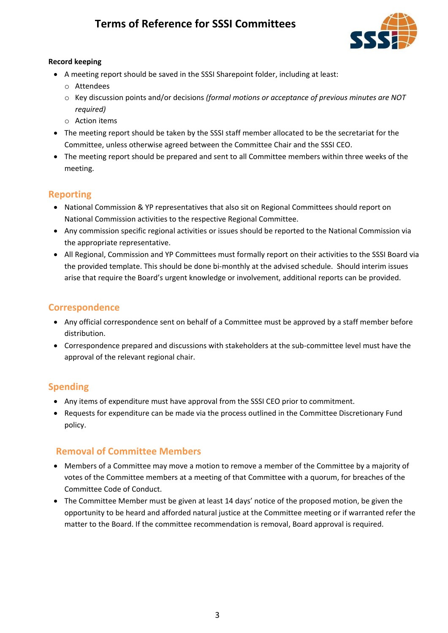

### **Record keeping**

- A meeting report should be saved in the SSSI Sharepoint folder, including at least:
	- o Attendees
	- o Key discussion points and/or decisions *(formal motions or acceptance of previous minutes are NOT required)*
	- $\circ$  Action items
- The meeting report should be taken by the SSSI staff member allocated to be the secretariat for the Committee, unless otherwise agreed between the Committee Chair and the SSSI CEO.
- The meeting report should be prepared and sent to all Committee members within three weeks of the meeting.

## **Reporting**

- National Commission & YP representatives that also sit on Regional Committees should report on National Commission activities to the respective Regional Committee.
- Any commission specific regional activities or issues should be reported to the National Commission via the appropriate representative.
- All Regional, Commission and YP Committees must formally report on their activities to the SSSI Board via the provided template. This should be done bi-monthly at the advised schedule. Should interim issues arise that require the Board's urgent knowledge or involvement, additional reports can be provided.

## **Correspondence**

- Any official correspondence sent on behalf of a Committee must be approved by a staff member before distribution.
- Correspondence prepared and discussions with stakeholders at the sub-committee level must have the approval of the relevant regional chair.

## **Spending**

- Any items of expenditure must have approval from the SSSI CEO prior to commitment.
- Requests for expenditure can be made via the process outlined in the Committee Discretionary Fund policy.

## **Removal of Committee Members**

- Members of a Committee may move a motion to remove a member of the Committee by a majority of votes of the Committee members at a meeting of that Committee with a quorum, for breaches of the Committee Code of Conduct.
- The Committee Member must be given at least 14 days' notice of the proposed motion, be given the opportunity to be heard and afforded natural justice at the Committee meeting or if warranted refer the matter to the Board. If the committee recommendation is removal, Board approval is required.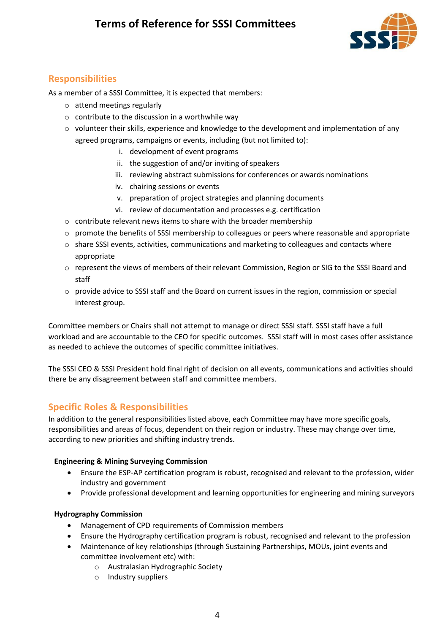

## **Responsibilities**

As a member of a SSSI Committee, it is expected that members:

- o attend meetings regularly
- o contribute to the discussion in a worthwhile way
- $\circ$  volunteer their skills, experience and knowledge to the development and implementation of any agreed programs, campaigns or events, including (but not limited to):
	- i. development of event programs
	- ii. the suggestion of and/or inviting of speakers
	- iii. reviewing abstract submissions for conferences or awards nominations
	- iv. chairing sessions or events
	- v. preparation of project strategies and planning documents
	- vi. review of documentation and processes e.g. certification
- $\circ$  contribute relevant news items to share with the broader membership
- $\circ$  promote the benefits of SSSI membership to colleagues or peers where reasonable and appropriate
- $\circ$  share SSSI events, activities, communications and marketing to colleagues and contacts where appropriate
- o represent the views of members of their relevant Commission, Region or SIG to the SSSI Board and staff
- o provide advice to SSSI staff and the Board on current issues in the region, commission or special interest group.

Committee members or Chairs shall not attempt to manage or direct SSSI staff. SSSI staff have a full workload and are accountable to the CEO for specific outcomes. SSSI staff will in most cases offer assistance as needed to achieve the outcomes of specific committee initiatives.

The SSSI CEO & SSSI President hold final right of decision on all events, communications and activities should there be any disagreement between staff and committee members.

## **Specific Roles & Responsibilities**

In addition to the general responsibilities listed above, each Committee may have more specific goals, responsibilities and areas of focus, dependent on their region or industry. These may change over time, according to new priorities and shifting industry trends.

#### **Engineering & Mining Surveying Commission**

- Ensure the ESP-AP certification program is robust, recognised and relevant to the profession, wider industry and government
- Provide professional development and learning opportunities for engineering and mining surveyors

### **Hydrography Commission**

- Management of CPD requirements of Commission members
- Ensure the Hydrography certification program is robust, recognised and relevant to the profession
- Maintenance of key relationships (through Sustaining Partnerships, MOUs, joint events and committee involvement etc) with:
	- o Australasian Hydrographic Society
	- o Industry suppliers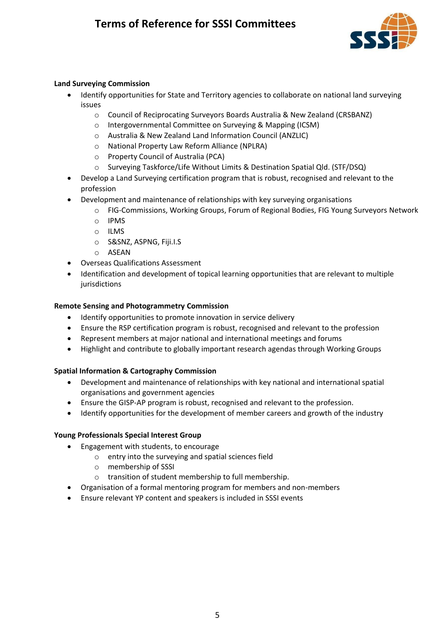

### **Land Surveying Commission**

- Identify opportunities for State and Territory agencies to collaborate on national land surveying issues
	- o Council of Reciprocating Surveyors Boards Australia & New Zealand (CRSBANZ)
	- o Intergovernmental Committee on Surveying & Mapping (ICSM)
	- o Australia & New Zealand Land Information Council (ANZLIC)
	- o National Property Law Reform Alliance (NPLRA)
	- o Property Council of Australia (PCA)
	- o Surveying Taskforce/Life Without Limits & Destination Spatial Qld. (STF/DSQ)
- Develop a Land Surveying certification program that is robust, recognised and relevant to the profession
- Development and maintenance of relationships with key surveying organisations
	- o FIG-Commissions, Working Groups, Forum of Regional Bodies, FIG Young Surveyors Network
	- o IPMS
	- o ILMS
	- o S&SNZ, ASPNG, Fiji.I.S
	- o ASEAN
- Overseas Qualifications Assessment
- Identification and development of topical learning opportunities that are relevant to multiple jurisdictions

#### **Remote Sensing and Photogrammetry Commission**

- Identify opportunities to promote innovation in service delivery
- Ensure the RSP certification program is robust, recognised and relevant to the profession
- Represent members at major national and international meetings and forums
- Highlight and contribute to globally important research agendas through Working Groups

#### **Spatial Information & Cartography Commission**

- Development and maintenance of relationships with key national and international spatial organisations and government agencies
- Ensure the GISP-AP program is robust, recognised and relevant to the profession.
- Identify opportunities for the development of member careers and growth of the industry

#### **Young Professionals Special Interest Group**

- Engagement with students, to encourage
	- o entry into the surveying and spatial sciences field
	- o membership of SSSI
	- o transition of student membership to full membership.
- Organisation of a formal mentoring program for members and non-members
- Ensure relevant YP content and speakers is included in SSSI events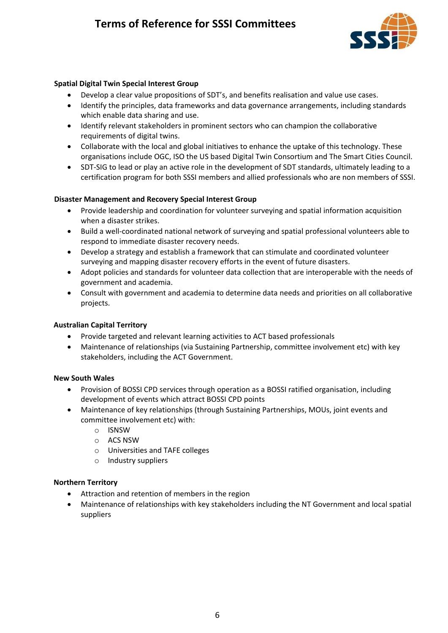

#### **Spatial Digital Twin Special Interest Group**

- Develop a clear value propositions of SDT's, and benefits realisation and value use cases.
- Identify the principles, data frameworks and data governance arrangements, including standards which enable data sharing and use.
- Identify relevant stakeholders in prominent sectors who can champion the collaborative requirements of digital twins.
- Collaborate with the local and global initiatives to enhance the uptake of this technology. These organisations include OGC, ISO the US based Digital Twin Consortium and The Smart Cities Council.
- SDT-SIG to lead or play an active role in the development of SDT standards, ultimately leading to a certification program for both SSSI members and allied professionals who are non members of SSSI.

#### **Disaster Management and Recovery Special Interest Group**

- Provide leadership and coordination for volunteer surveying and spatial information acquisition when a disaster strikes.
- Build a well-coordinated national network of surveying and spatial professional volunteers able to respond to immediate disaster recovery needs.
- Develop a strategy and establish a framework that can stimulate and coordinated volunteer surveying and mapping disaster recovery efforts in the event of future disasters.
- Adopt policies and standards for volunteer data collection that are interoperable with the needs of government and academia.
- Consult with government and academia to determine data needs and priorities on all collaborative projects.

#### **Australian Capital Territory**

- Provide targeted and relevant learning activities to ACT based professionals
- Maintenance of relationships (via Sustaining Partnership, committee involvement etc) with key stakeholders, including the ACT Government.

#### **New South Wales**

- Provision of BOSSI CPD services through operation as a BOSSI ratified organisation, including development of events which attract BOSSI CPD points
- Maintenance of key relationships (through Sustaining Partnerships, MOUs, joint events and committee involvement etc) with:
	- o ISNSW
	- o ACS NSW
	- o Universities and TAFE colleges
	- o Industry suppliers

#### **Northern Territory**

- Attraction and retention of members in the region
- Maintenance of relationships with key stakeholders including the NT Government and local spatial suppliers